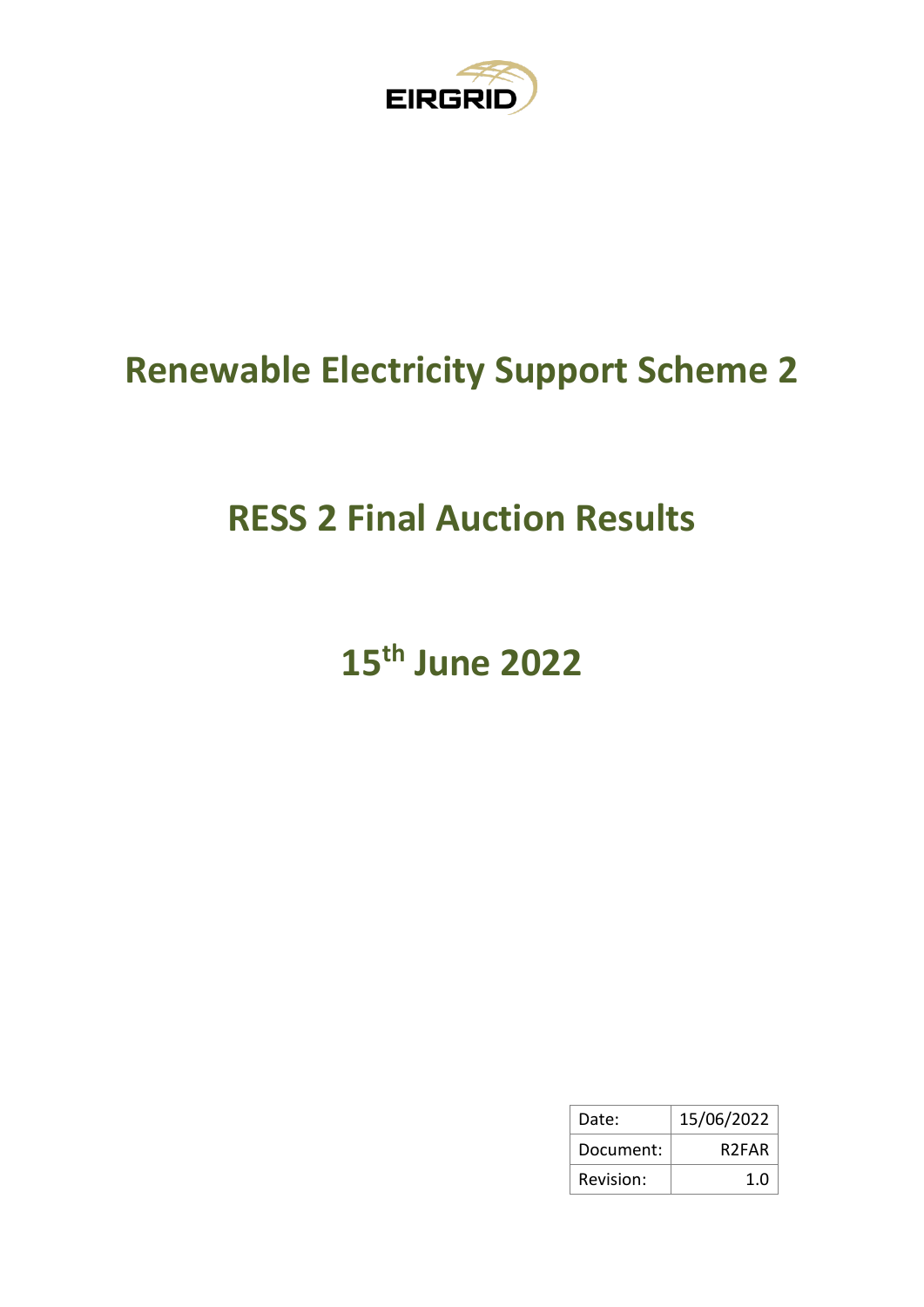

## **Renewable Electricity Support Scheme 2**

## **RESS 2 Final Auction Results**

# **15th June 2022**

| Date:     | 15/06/2022         |
|-----------|--------------------|
| Document: | R <sub>2</sub> FAR |
| Revision: | 1.0                |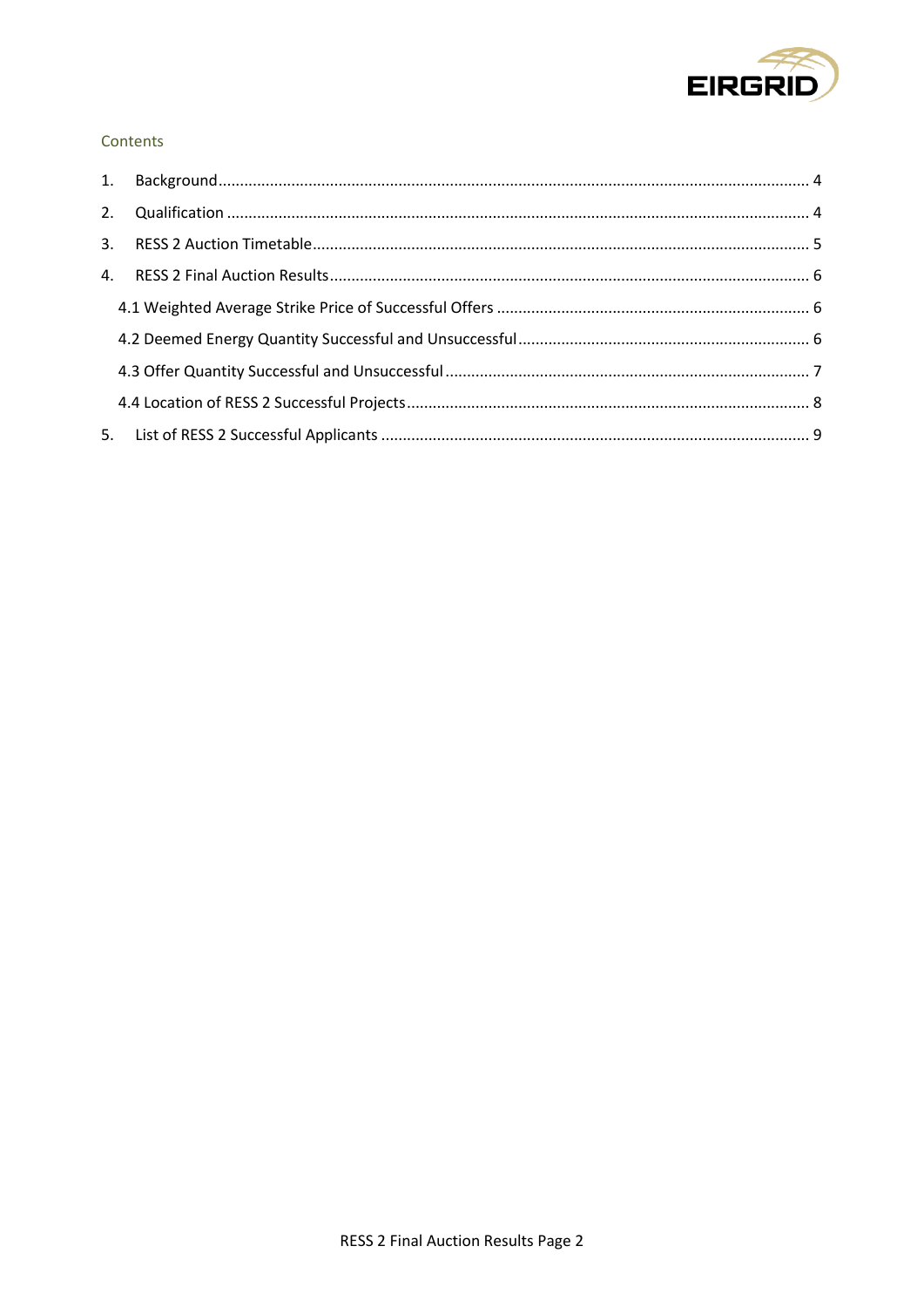

#### Contents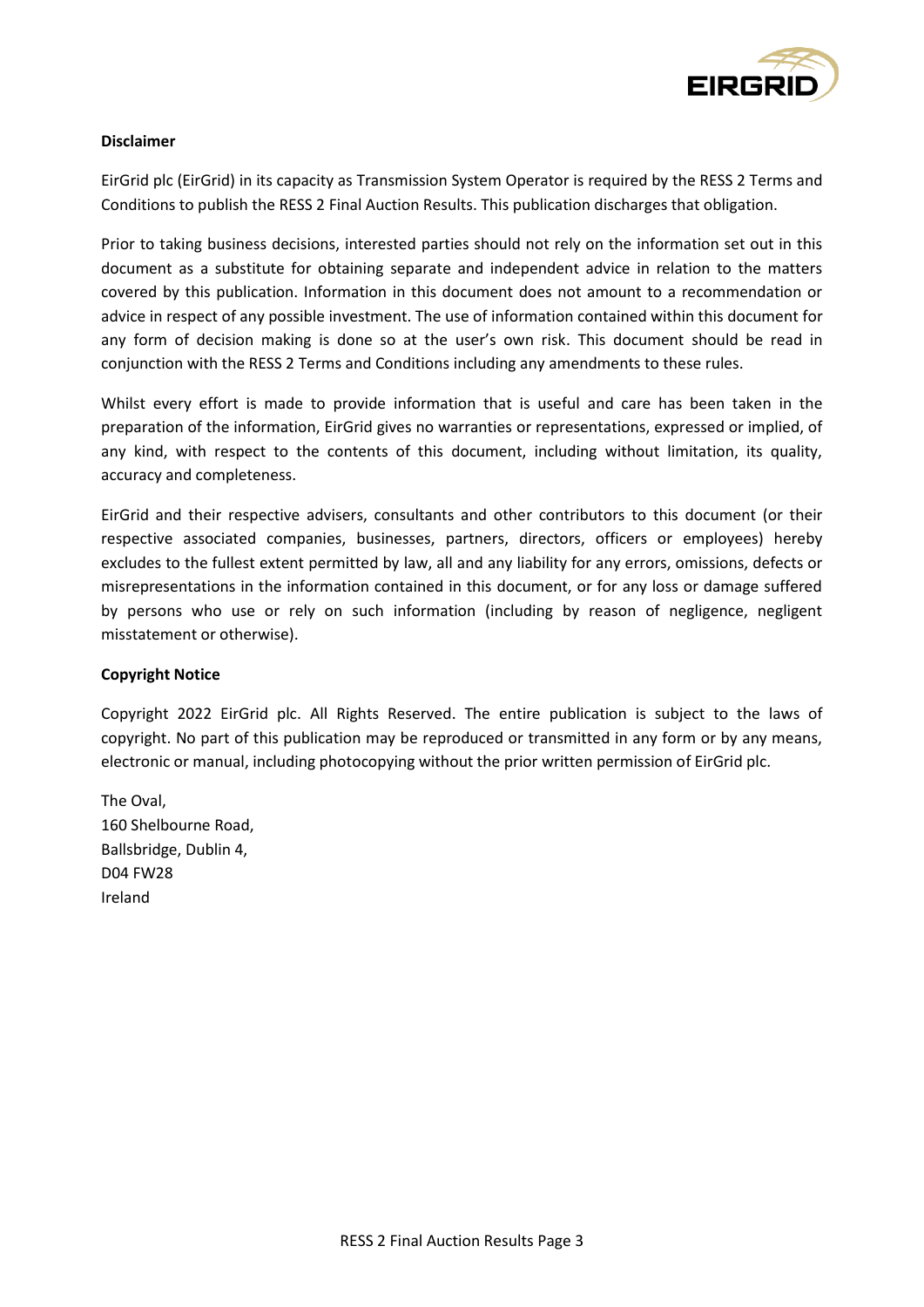

#### **Disclaimer**

EirGrid plc (EirGrid) in its capacity as Transmission System Operator is required by the RESS 2 Terms and Conditions to publish the RESS 2 Final Auction Results. This publication discharges that obligation.

Prior to taking business decisions, interested parties should not rely on the information set out in this document as a substitute for obtaining separate and independent advice in relation to the matters covered by this publication. Information in this document does not amount to a recommendation or advice in respect of any possible investment. The use of information contained within this document for any form of decision making is done so at the user's own risk. This document should be read in conjunction with the RESS 2 Terms and Conditions including any amendments to these rules.

Whilst every effort is made to provide information that is useful and care has been taken in the preparation of the information, EirGrid gives no warranties or representations, expressed or implied, of any kind, with respect to the contents of this document, including without limitation, its quality, accuracy and completeness.

EirGrid and their respective advisers, consultants and other contributors to this document (or their respective associated companies, businesses, partners, directors, officers or employees) hereby excludes to the fullest extent permitted by law, all and any liability for any errors, omissions, defects or misrepresentations in the information contained in this document, or for any loss or damage suffered by persons who use or rely on such information (including by reason of negligence, negligent misstatement or otherwise).

#### **Copyright Notice**

Copyright 2022 EirGrid plc. All Rights Reserved. The entire publication is subject to the laws of copyright. No part of this publication may be reproduced or transmitted in any form or by any means, electronic or manual, including photocopying without the prior written permission of EirGrid plc.

The Oval, 160 Shelbourne Road, Ballsbridge, Dublin 4, D04 FW28 Ireland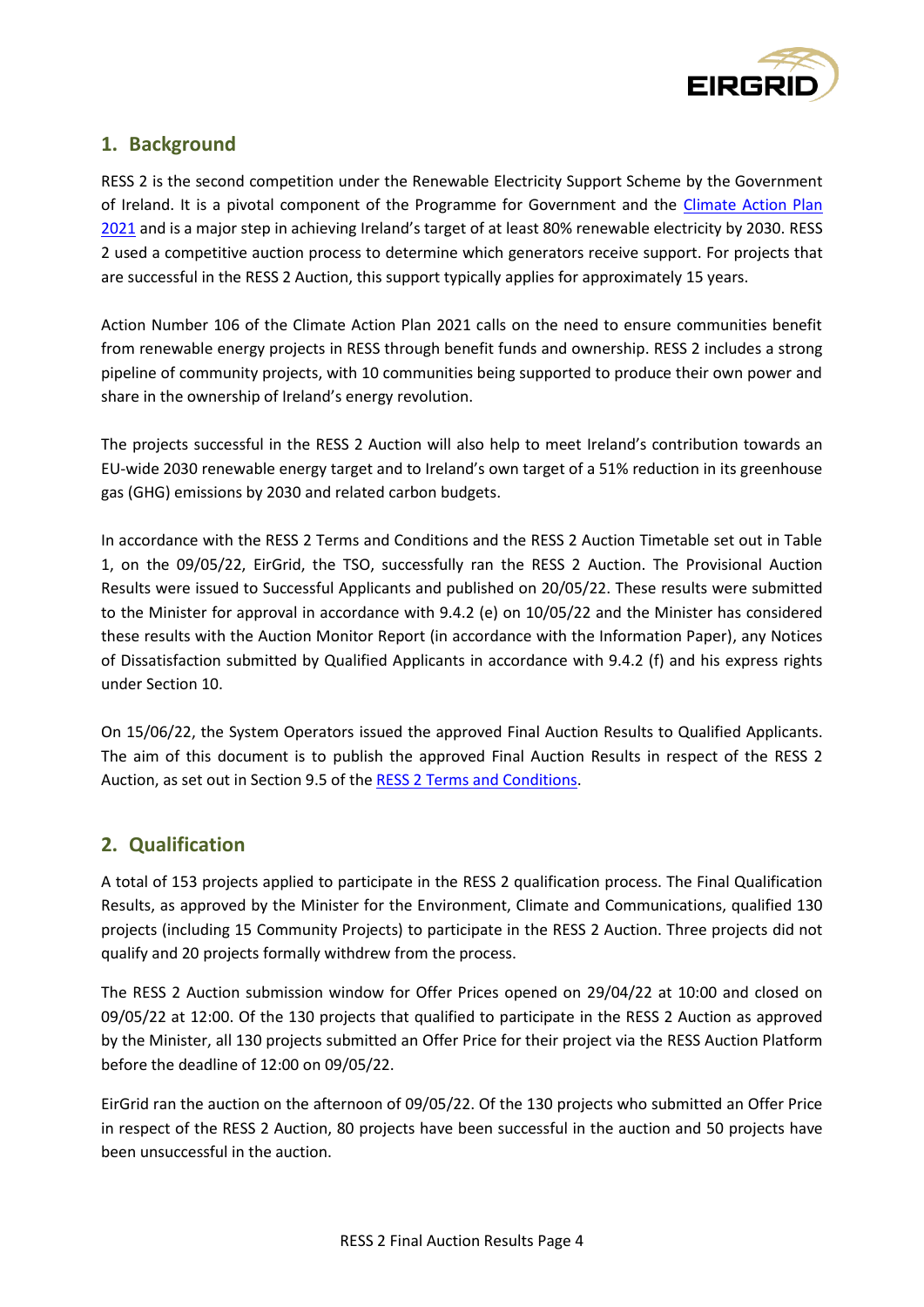

### <span id="page-3-0"></span>**1. Background**

RESS 2 is the second competition under the Renewable Electricity Support Scheme by the Government of Ireland. It is a pivotal component of the Programme for Government and the [Climate Action Plan](https://www.gov.ie/en/publication/6223e-climate-action-plan-2021/)  [2021](https://www.gov.ie/en/publication/6223e-climate-action-plan-2021/) and is a major step in achieving Ireland's target of at least 80% renewable electricity by 2030. RESS 2 used a competitive auction process to determine which generators receive support. For projects that are successful in the RESS 2 Auction, this support typically applies for approximately 15 years.

Action Number 106 of the Climate Action Plan 2021 calls on the need to ensure communities benefit from renewable energy projects in RESS through benefit funds and ownership. RESS 2 includes a strong pipeline of community projects, with 10 communities being supported to produce their own power and share in the ownership of Ireland's energy revolution.

The projects successful in the RESS 2 Auction will also help to meet Ireland's contribution towards an EU-wide 2030 renewable energy target and to Ireland's own target of a 51% reduction in its greenhouse gas (GHG) emissions by 2030 and related carbon budgets.

In accordance with the RESS 2 Terms and Conditions and the RESS 2 Auction Timetable set out in Table 1, on the 09/05/22, EirGrid, the TSO, successfully ran the RESS 2 Auction. The Provisional Auction Results were issued to Successful Applicants and published on 20/05/22. These results were submitted to the Minister for approval in accordance with 9.4.2 (e) on 10/05/22 and the Minister has considered these results with the Auction Monitor Report (in accordance with the Information Paper), any Notices of Dissatisfaction submitted by Qualified Applicants in accordance with 9.4.2 (f) and his express rights under Section 10.

On 15/06/22, the System Operators issued the approved Final Auction Results to Qualified Applicants. The aim of this document is to publish the approved Final Auction Results in respect of the RESS 2 Auction, as set out in Section 9.5 of the RESS 2 Terms and [Conditions.](https://www.gov.ie/en/publication/7f0bb-renewable-electricity-support-scheme-2-ress-2/?msclkid=bedb6155d04211eca0dba8a1a927b49e)

#### <span id="page-3-1"></span>**2. Qualification**

A total of 153 projects applied to participate in the RESS 2 qualification process. The Final Qualification Results, as approved by the Minister for the Environment, Climate and Communications, qualified 130 projects (including 15 Community Projects) to participate in the RESS 2 Auction. Three projects did not qualify and 20 projects formally withdrew from the process.

The RESS 2 Auction submission window for Offer Prices opened on 29/04/22 at 10:00 and closed on 09/05/22 at 12:00. Of the 130 projects that qualified to participate in the RESS 2 Auction as approved by the Minister, all 130 projects submitted an Offer Price for their project via the RESS Auction Platform before the deadline of 12:00 on 09/05/22.

EirGrid ran the auction on the afternoon of 09/05/22. Of the 130 projects who submitted an Offer Price in respect of the RESS 2 Auction, 80 projects have been successful in the auction and 50 projects have been unsuccessful in the auction.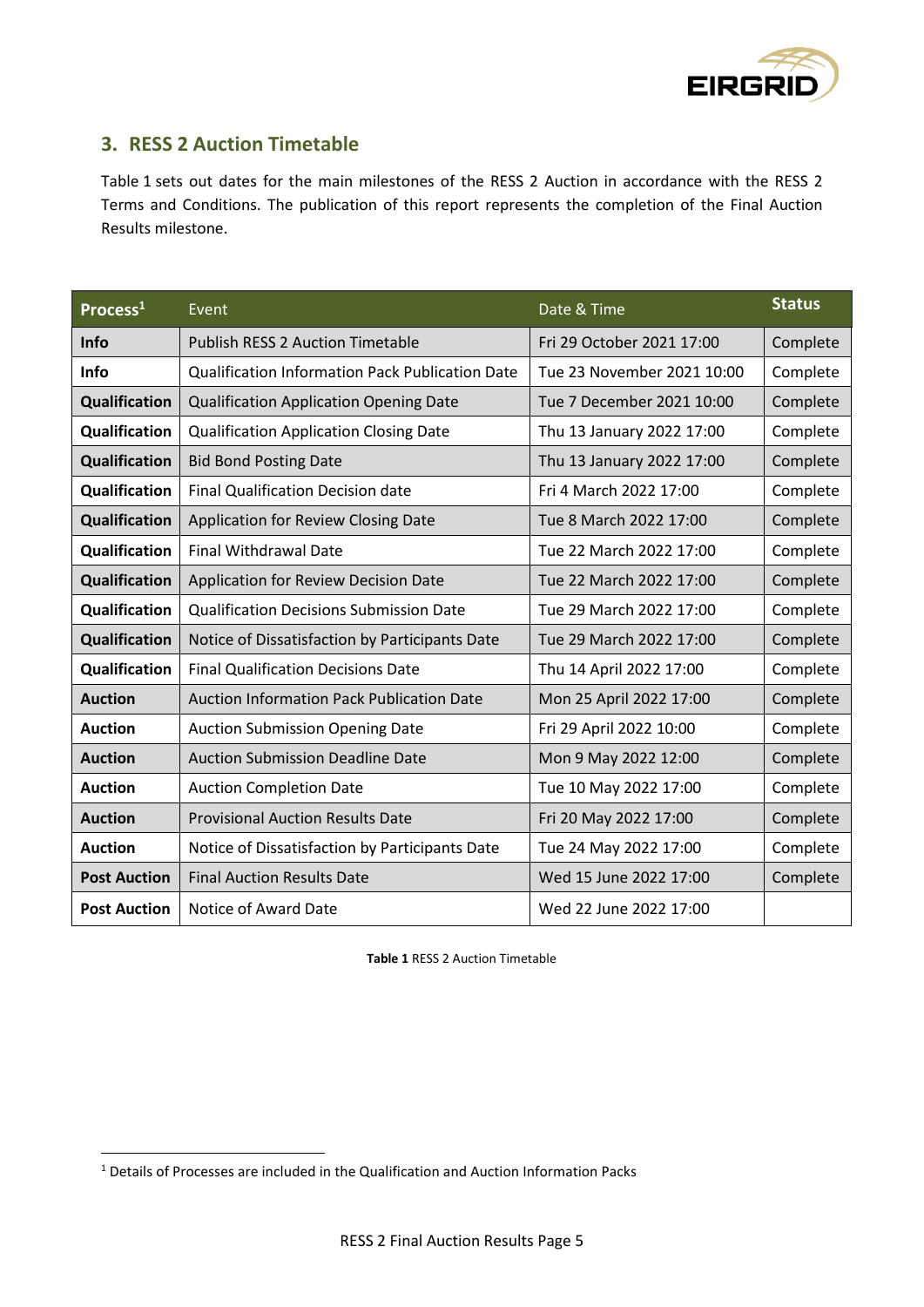

### <span id="page-4-0"></span>**3. RESS 2 Auction Timetable**

Table 1 sets out dates for the main milestones of the RESS 2 Auction in accordance with the RESS 2 Terms and Conditions. The publication of this report represents the completion of the Final Auction Results milestone.

| Process <sup>1</sup> | Event                                                  | Date & Time                | <b>Status</b> |
|----------------------|--------------------------------------------------------|----------------------------|---------------|
| Info                 | <b>Publish RESS 2 Auction Timetable</b>                | Fri 29 October 2021 17:00  | Complete      |
| <b>Info</b>          | <b>Qualification Information Pack Publication Date</b> | Tue 23 November 2021 10:00 | Complete      |
| Qualification        | <b>Qualification Application Opening Date</b>          | Tue 7 December 2021 10:00  | Complete      |
| Qualification        | <b>Qualification Application Closing Date</b>          | Thu 13 January 2022 17:00  | Complete      |
| Qualification        | <b>Bid Bond Posting Date</b>                           | Thu 13 January 2022 17:00  | Complete      |
| Qualification        | <b>Final Qualification Decision date</b>               | Fri 4 March 2022 17:00     | Complete      |
| Qualification        | Application for Review Closing Date                    | Tue 8 March 2022 17:00     | Complete      |
| Qualification        | <b>Final Withdrawal Date</b>                           | Tue 22 March 2022 17:00    | Complete      |
| Qualification        | Application for Review Decision Date                   | Tue 22 March 2022 17:00    | Complete      |
| Qualification        | <b>Qualification Decisions Submission Date</b>         | Tue 29 March 2022 17:00    | Complete      |
| <b>Qualification</b> | Notice of Dissatisfaction by Participants Date         | Tue 29 March 2022 17:00    | Complete      |
| Qualification        | <b>Final Qualification Decisions Date</b>              | Thu 14 April 2022 17:00    | Complete      |
| <b>Auction</b>       | <b>Auction Information Pack Publication Date</b>       | Mon 25 April 2022 17:00    | Complete      |
| <b>Auction</b>       | <b>Auction Submission Opening Date</b>                 | Fri 29 April 2022 10:00    | Complete      |
| <b>Auction</b>       | <b>Auction Submission Deadline Date</b>                | Mon 9 May 2022 12:00       | Complete      |
| <b>Auction</b>       | <b>Auction Completion Date</b>                         | Tue 10 May 2022 17:00      | Complete      |
| <b>Auction</b>       | <b>Provisional Auction Results Date</b>                | Fri 20 May 2022 17:00      | Complete      |
| <b>Auction</b>       | Notice of Dissatisfaction by Participants Date         | Tue 24 May 2022 17:00      | Complete      |
| <b>Post Auction</b>  | <b>Final Auction Results Date</b>                      | Wed 15 June 2022 17:00     | Complete      |
| <b>Post Auction</b>  | Notice of Award Date                                   | Wed 22 June 2022 17:00     |               |

**Table 1** RESS 2 Auction Timetable

<sup>1</sup> Details of Processes are included in the Qualification and Auction Information Packs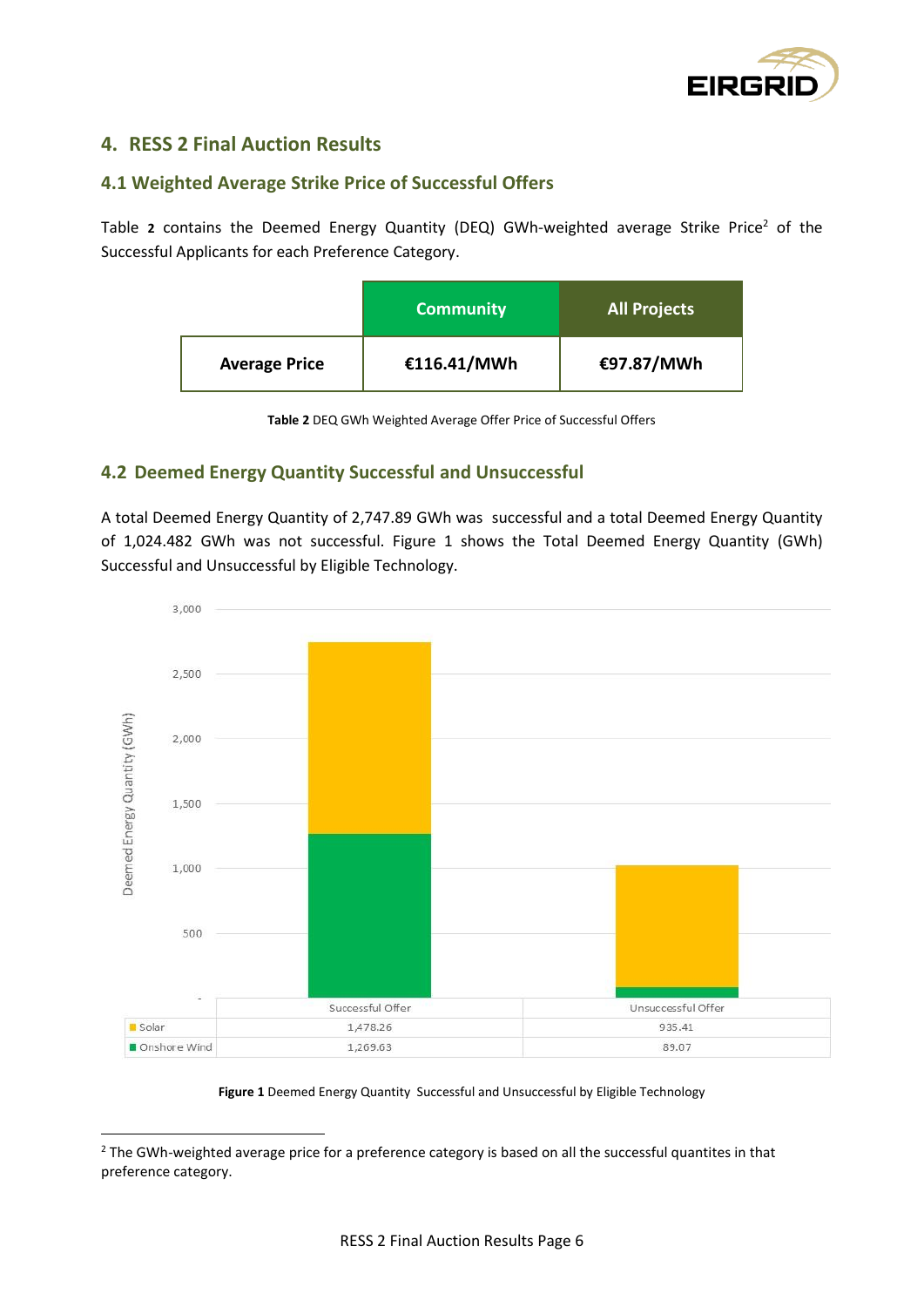

### <span id="page-5-0"></span>**4. RESS 2 Final Auction Results**

#### <span id="page-5-1"></span>**4.1 Weighted Average Strike Price of Successful Offer[s](#page-5-3)**

[Table](#page-5-3) 2 contains the Deemed Energy Quantity (DEQ) GWh-weighted average Strike Price<sup>2</sup> of the Successful Applicants for each Preference Category.

|                      | <b>Community</b> | <b>All Projects</b> |
|----------------------|------------------|---------------------|
| <b>Average Price</b> | €116.41/MWh      | €97.87/MWh          |

**Table 2** DEQ GWh Weighted Average Offer Price of Successful Offers

#### <span id="page-5-3"></span><span id="page-5-2"></span>**4.2 Deemed Energy Quantity Successful and Unsuccessful**

A total Deemed Energy Quantity of 2,747.89 GWh was successful and a total Deemed Energy Quantity of 1,024.482 GWh was not successful. [Figure 1](#page-5-4) shows the Total Deemed Energy Quantity (GWh) Successful and Unsuccessful by Eligible Technology.



**Figure 1** Deemed Energy Quantity Successful and Unsuccessful by Eligible Technology

<span id="page-5-4"></span><sup>&</sup>lt;sup>2</sup> The GWh-weighted average price for a preference category is based on all the successful quantites in that preference category.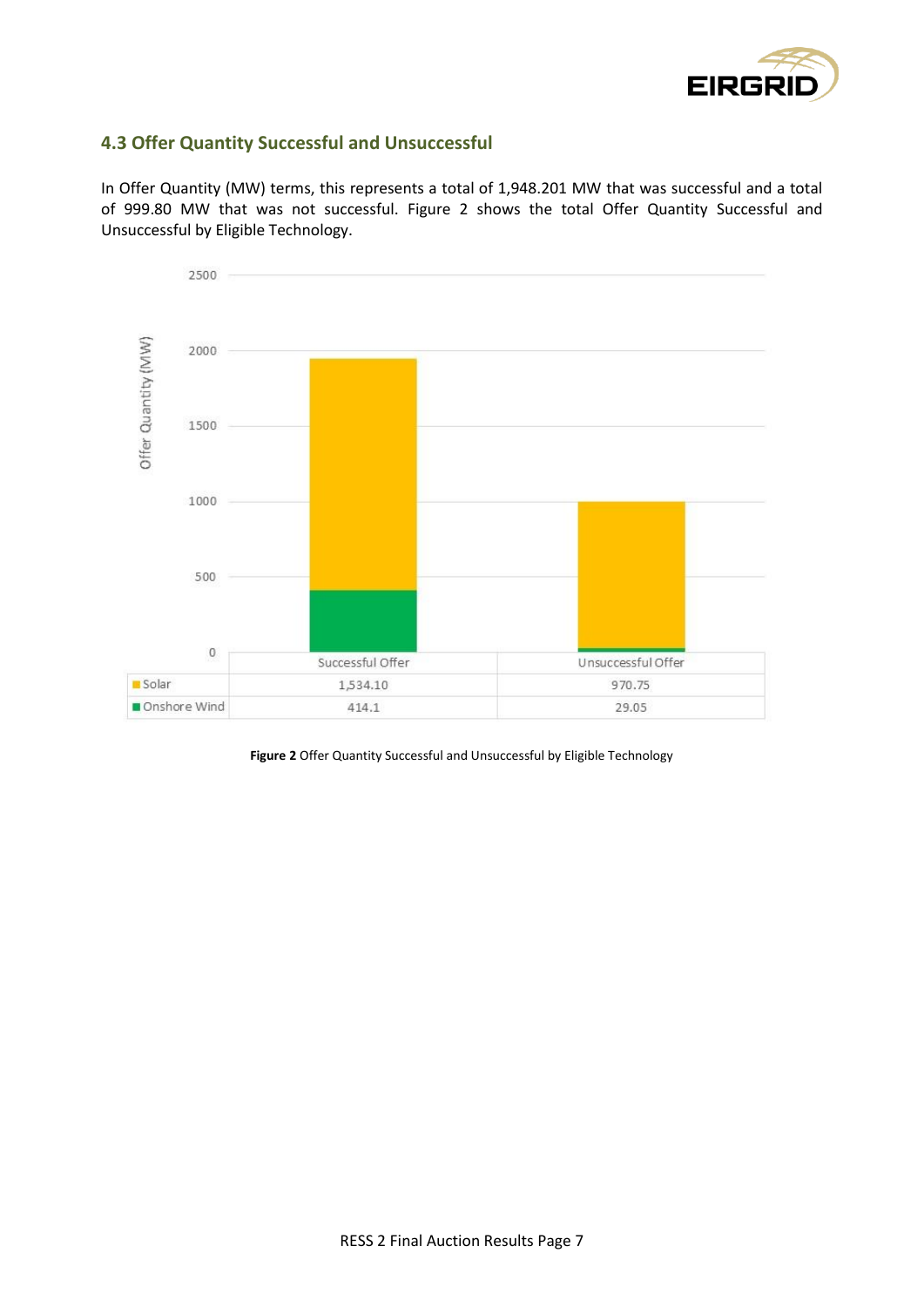

#### <span id="page-6-0"></span>**4.3 Offer Quantity Successful and Unsuccessful**

In Offer Quantity (MW) terms, this represents a total of 1,948.201 MW that was successful and a total of 999.80 MW that was not successful. [Figure 2](#page-6-1) shows the total Offer Quantity Successful and Unsuccessful by Eligible Technology.



<span id="page-6-1"></span>**Figure 2** Offer Quantity Successful and Unsuccessful by Eligible Technology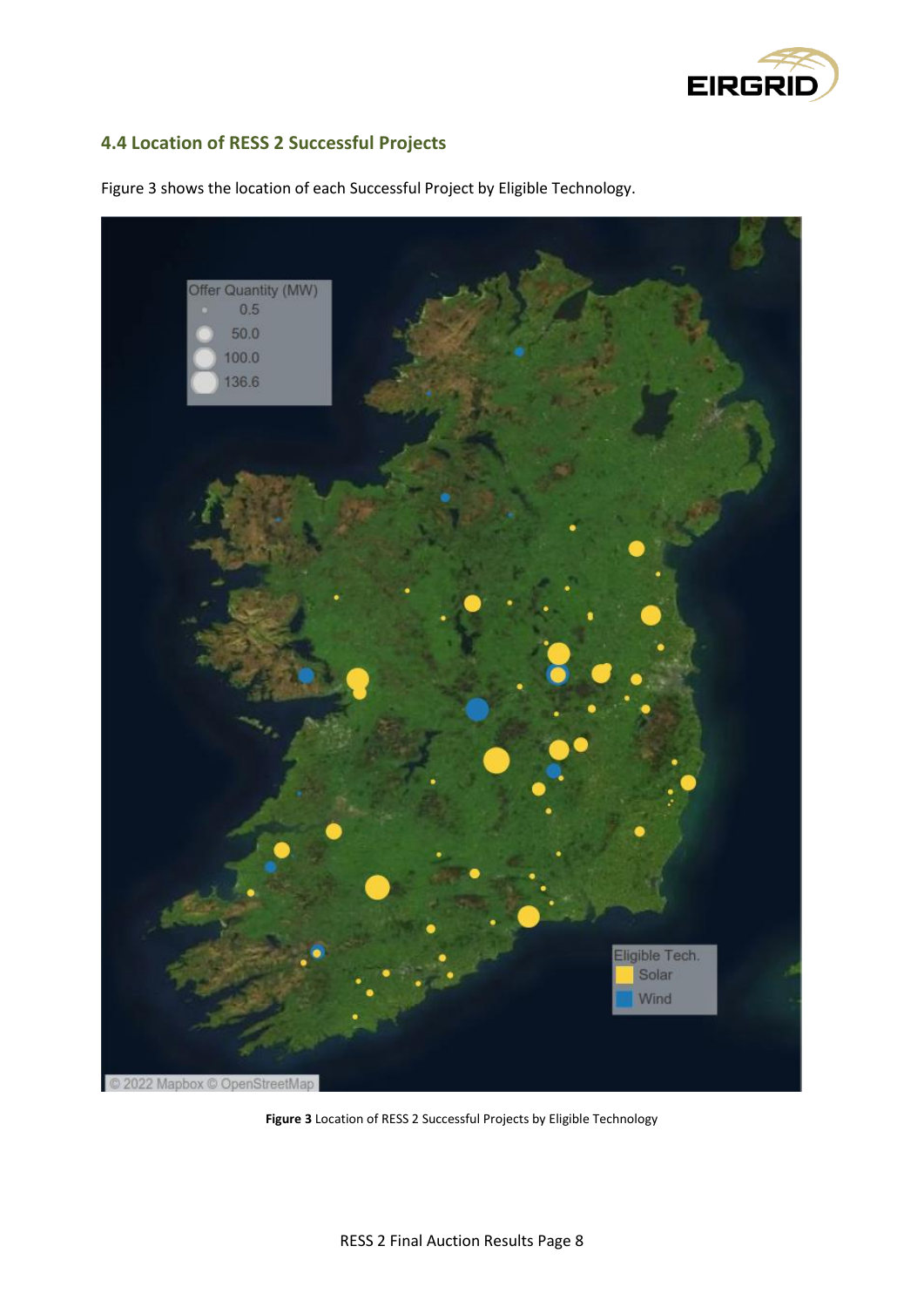

#### <span id="page-7-0"></span>**4.4 Location of RESS 2 Successful Projects**



Figure 3 shows the location of each Successful Project by Eligible Technology.

**Figure 3** Location of RESS 2 Successful Projects by Eligible Technology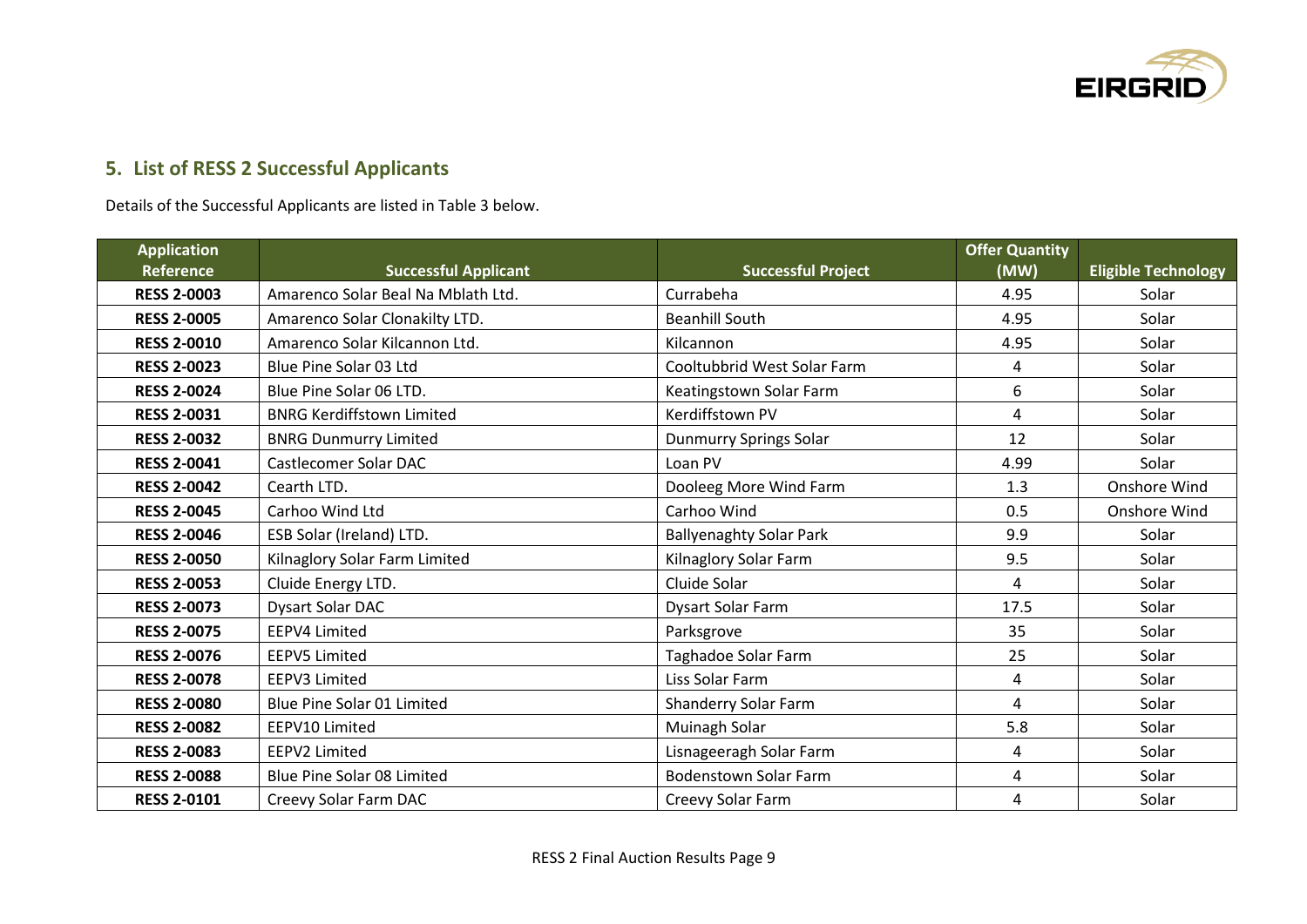

## **5. List of RESS 2 Successful Applicants**

Details of the Successful Applicants are listed in Table 3 below.

<span id="page-8-0"></span>

| <b>Application</b> |                                    |                                | <b>Offer Quantity</b> |                            |
|--------------------|------------------------------------|--------------------------------|-----------------------|----------------------------|
| <b>Reference</b>   | <b>Successful Applicant</b>        | <b>Successful Project</b>      | (MW)                  | <b>Eligible Technology</b> |
| <b>RESS 2-0003</b> | Amarenco Solar Beal Na Mblath Ltd. | Currabeha                      | 4.95                  | Solar                      |
| <b>RESS 2-0005</b> | Amarenco Solar Clonakilty LTD.     | <b>Beanhill South</b>          | 4.95                  | Solar                      |
| <b>RESS 2-0010</b> | Amarenco Solar Kilcannon Ltd.      | Kilcannon                      | 4.95                  | Solar                      |
| <b>RESS 2-0023</b> | Blue Pine Solar 03 Ltd             | Cooltubbrid West Solar Farm    | 4                     | Solar                      |
| <b>RESS 2-0024</b> | Blue Pine Solar 06 LTD.            | Keatingstown Solar Farm        | 6                     | Solar                      |
| <b>RESS 2-0031</b> | <b>BNRG Kerdiffstown Limited</b>   | Kerdiffstown PV                | 4                     | Solar                      |
| <b>RESS 2-0032</b> | <b>BNRG Dunmurry Limited</b>       | Dunmurry Springs Solar         | 12                    | Solar                      |
| <b>RESS 2-0041</b> | Castlecomer Solar DAC              | Loan PV                        | 4.99                  | Solar                      |
| <b>RESS 2-0042</b> | Cearth LTD.                        | Dooleeg More Wind Farm         | 1.3                   | Onshore Wind               |
| <b>RESS 2-0045</b> | Carhoo Wind Ltd                    | Carhoo Wind                    | 0.5                   | Onshore Wind               |
| <b>RESS 2-0046</b> | ESB Solar (Ireland) LTD.           | <b>Ballyenaghty Solar Park</b> | 9.9                   | Solar                      |
| <b>RESS 2-0050</b> | Kilnaglory Solar Farm Limited      | Kilnaglory Solar Farm          | 9.5                   | Solar                      |
| <b>RESS 2-0053</b> | Cluide Energy LTD.                 | Cluide Solar                   | 4                     | Solar                      |
| <b>RESS 2-0073</b> | Dysart Solar DAC                   | <b>Dysart Solar Farm</b>       | 17.5                  | Solar                      |
| <b>RESS 2-0075</b> | <b>EEPV4 Limited</b>               | Parksgrove                     | 35                    | Solar                      |
| <b>RESS 2-0076</b> | <b>EEPV5 Limited</b>               | Taghadoe Solar Farm            | 25                    | Solar                      |
| <b>RESS 2-0078</b> | <b>EEPV3 Limited</b>               | Liss Solar Farm                | 4                     | Solar                      |
| <b>RESS 2-0080</b> | Blue Pine Solar 01 Limited         | Shanderry Solar Farm           | 4                     | Solar                      |
| <b>RESS 2-0082</b> | EEPV10 Limited                     | Muinagh Solar                  | 5.8                   | Solar                      |
| <b>RESS 2-0083</b> | <b>EEPV2 Limited</b>               | Lisnageeragh Solar Farm        | 4                     | Solar                      |
| <b>RESS 2-0088</b> | <b>Blue Pine Solar 08 Limited</b>  | <b>Bodenstown Solar Farm</b>   | 4                     | Solar                      |
| <b>RESS 2-0101</b> | Creevy Solar Farm DAC              | Creevy Solar Farm              | 4                     | Solar                      |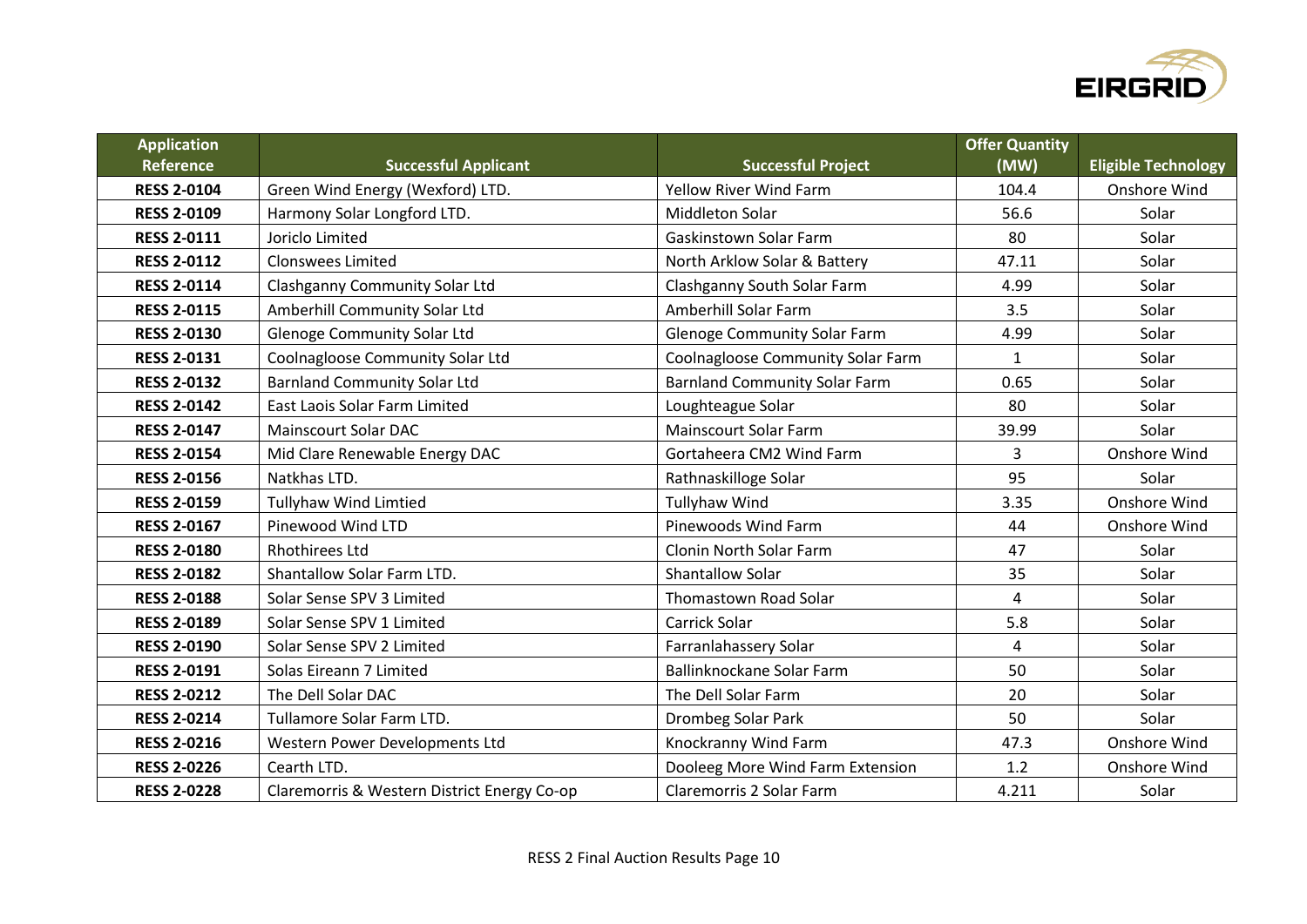

| <b>Application</b> |                                             |                                      | <b>Offer Quantity</b> |                            |
|--------------------|---------------------------------------------|--------------------------------------|-----------------------|----------------------------|
| Reference          | <b>Successful Applicant</b>                 | <b>Successful Project</b>            | (MW)                  | <b>Eligible Technology</b> |
| <b>RESS 2-0104</b> | Green Wind Energy (Wexford) LTD.            | <b>Yellow River Wind Farm</b>        | 104.4                 | Onshore Wind               |
| <b>RESS 2-0109</b> | Harmony Solar Longford LTD.                 | <b>Middleton Solar</b>               | 56.6                  | Solar                      |
| <b>RESS 2-0111</b> | Joriclo Limited                             | <b>Gaskinstown Solar Farm</b>        | 80                    | Solar                      |
| <b>RESS 2-0112</b> | <b>Clonswees Limited</b>                    | North Arklow Solar & Battery         | 47.11                 | Solar                      |
| <b>RESS 2-0114</b> | <b>Clashganny Community Solar Ltd</b>       | Clashganny South Solar Farm          | 4.99                  | Solar                      |
| <b>RESS 2-0115</b> | Amberhill Community Solar Ltd               | Amberhill Solar Farm                 | 3.5                   | Solar                      |
| <b>RESS 2-0130</b> | <b>Glenoge Community Solar Ltd</b>          | <b>Glenoge Community Solar Farm</b>  | 4.99                  | Solar                      |
| <b>RESS 2-0131</b> | Coolnagloose Community Solar Ltd            | Coolnagloose Community Solar Farm    | $\mathbf{1}$          | Solar                      |
| <b>RESS 2-0132</b> | <b>Barnland Community Solar Ltd</b>         | <b>Barnland Community Solar Farm</b> | 0.65                  | Solar                      |
| <b>RESS 2-0142</b> | <b>East Laois Solar Farm Limited</b>        | Loughteague Solar                    | 80                    | Solar                      |
| <b>RESS 2-0147</b> | <b>Mainscourt Solar DAC</b>                 | <b>Mainscourt Solar Farm</b>         | 39.99                 | Solar                      |
| <b>RESS 2-0154</b> | Mid Clare Renewable Energy DAC              | Gortaheera CM2 Wind Farm             | 3                     | Onshore Wind               |
| <b>RESS 2-0156</b> | Natkhas LTD.                                | Rathnaskilloge Solar                 | 95                    | Solar                      |
| <b>RESS 2-0159</b> | <b>Tullyhaw Wind Limtied</b>                | <b>Tullyhaw Wind</b>                 | 3.35                  | Onshore Wind               |
| <b>RESS 2-0167</b> | Pinewood Wind LTD                           | Pinewoods Wind Farm                  | 44                    | Onshore Wind               |
| <b>RESS 2-0180</b> | <b>Rhothirees Ltd</b>                       | Clonin North Solar Farm              | 47                    | Solar                      |
| <b>RESS 2-0182</b> | Shantallow Solar Farm LTD.                  | <b>Shantallow Solar</b>              | 35                    | Solar                      |
| <b>RESS 2-0188</b> | Solar Sense SPV 3 Limited                   | Thomastown Road Solar                | $\overline{4}$        | Solar                      |
| <b>RESS 2-0189</b> | Solar Sense SPV 1 Limited                   | Carrick Solar                        | 5.8                   | Solar                      |
| <b>RESS 2-0190</b> | Solar Sense SPV 2 Limited                   | Farranlahassery Solar                | $\overline{4}$        | Solar                      |
| <b>RESS 2-0191</b> | Solas Eireann 7 Limited                     | Ballinknockane Solar Farm            | 50                    | Solar                      |
| <b>RESS 2-0212</b> | The Dell Solar DAC                          | The Dell Solar Farm                  | 20                    | Solar                      |
| <b>RESS 2-0214</b> | Tullamore Solar Farm LTD.                   | Drombeg Solar Park                   | 50                    | Solar                      |
| <b>RESS 2-0216</b> | Western Power Developments Ltd              | Knockranny Wind Farm                 | 47.3                  | Onshore Wind               |
| <b>RESS 2-0226</b> | Cearth LTD.                                 | Dooleeg More Wind Farm Extension     | 1.2                   | Onshore Wind               |
| <b>RESS 2-0228</b> | Claremorris & Western District Energy Co-op | Claremorris 2 Solar Farm             | 4.211                 | Solar                      |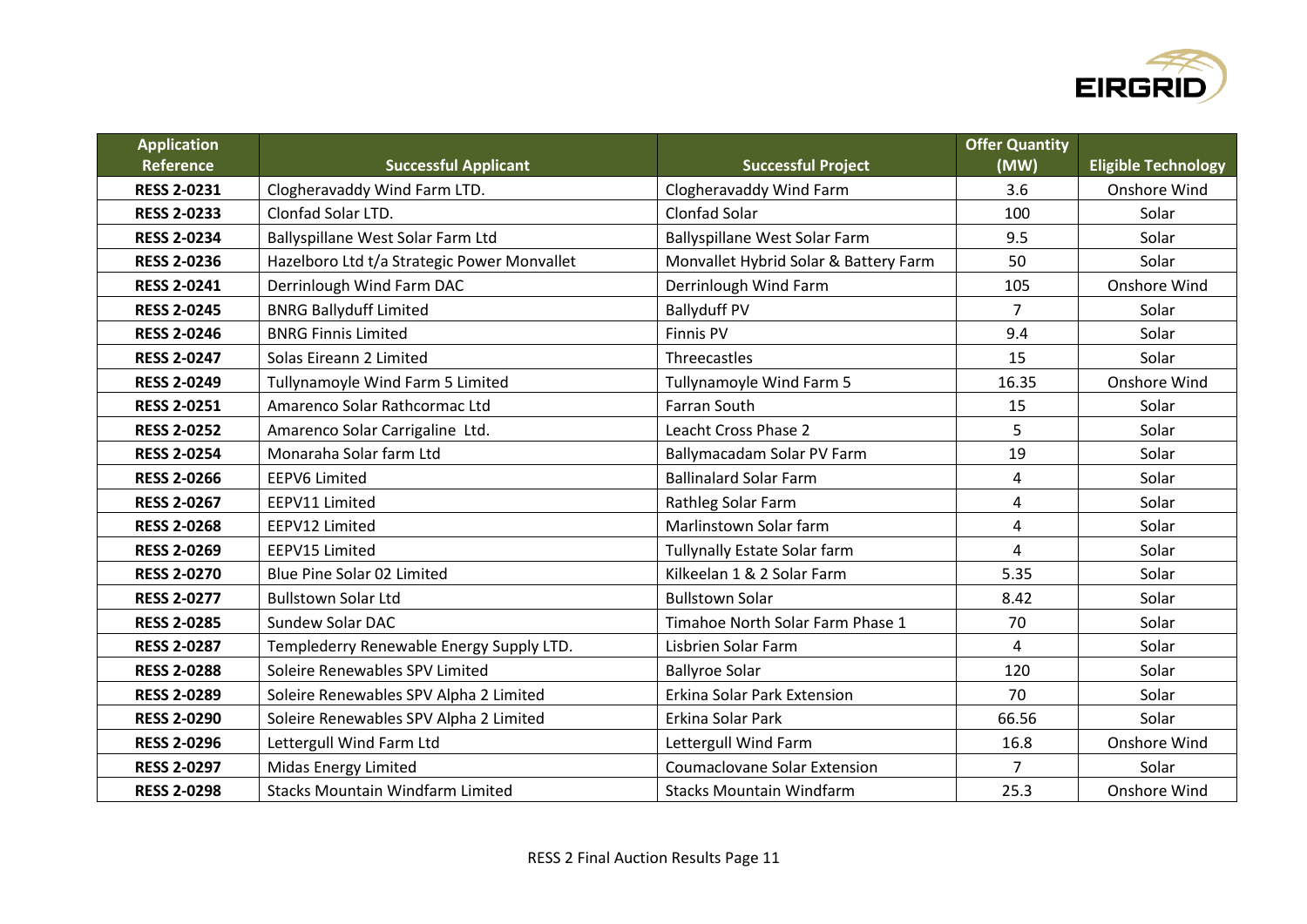

| <b>Application</b> |                                             |                                       | <b>Offer Quantity</b> |                            |
|--------------------|---------------------------------------------|---------------------------------------|-----------------------|----------------------------|
| <b>Reference</b>   | <b>Successful Applicant</b>                 | <b>Successful Project</b>             | (MW)                  | <b>Eligible Technology</b> |
| <b>RESS 2-0231</b> | Clogheravaddy Wind Farm LTD.                | Clogheravaddy Wind Farm               | 3.6                   | Onshore Wind               |
| <b>RESS 2-0233</b> | <b>Clonfad Solar LTD.</b>                   | <b>Clonfad Solar</b>                  | 100                   | Solar                      |
| <b>RESS 2-0234</b> | Ballyspillane West Solar Farm Ltd           | Ballyspillane West Solar Farm         | 9.5                   | Solar                      |
| <b>RESS 2-0236</b> | Hazelboro Ltd t/a Strategic Power Monvallet | Monvallet Hybrid Solar & Battery Farm | 50                    | Solar                      |
| <b>RESS 2-0241</b> | Derrinlough Wind Farm DAC                   | Derrinlough Wind Farm                 | 105                   | Onshore Wind               |
| <b>RESS 2-0245</b> | <b>BNRG Ballyduff Limited</b>               | <b>Ballyduff PV</b>                   | $\overline{7}$        | Solar                      |
| <b>RESS 2-0246</b> | <b>BNRG Finnis Limited</b>                  | <b>Finnis PV</b>                      | 9.4                   | Solar                      |
| <b>RESS 2-0247</b> | Solas Eireann 2 Limited                     | Threecastles                          | 15                    | Solar                      |
| <b>RESS 2-0249</b> | Tullynamoyle Wind Farm 5 Limited            | Tullynamoyle Wind Farm 5              | 16.35                 | Onshore Wind               |
| <b>RESS 2-0251</b> | Amarenco Solar Rathcormac Ltd               | <b>Farran South</b>                   | 15                    | Solar                      |
| <b>RESS 2-0252</b> | Amarenco Solar Carrigaline Ltd.             | Leacht Cross Phase 2                  | 5                     | Solar                      |
| <b>RESS 2-0254</b> | Monaraha Solar farm Ltd                     | Ballymacadam Solar PV Farm            | 19                    | Solar                      |
| <b>RESS 2-0266</b> | <b>EEPV6 Limited</b>                        | <b>Ballinalard Solar Farm</b>         | 4                     | Solar                      |
| <b>RESS 2-0267</b> | EEPV11 Limited                              | Rathleg Solar Farm                    | 4                     | Solar                      |
| <b>RESS 2-0268</b> | EEPV12 Limited                              | Marlinstown Solar farm                | 4                     | Solar                      |
| <b>RESS 2-0269</b> | EEPV15 Limited                              | Tullynally Estate Solar farm          | 4                     | Solar                      |
| <b>RESS 2-0270</b> | Blue Pine Solar 02 Limited                  | Kilkeelan 1 & 2 Solar Farm            | 5.35                  | Solar                      |
| <b>RESS 2-0277</b> | <b>Bullstown Solar Ltd</b>                  | <b>Bullstown Solar</b>                | 8.42                  | Solar                      |
| <b>RESS 2-0285</b> | <b>Sundew Solar DAC</b>                     | Timahoe North Solar Farm Phase 1      | 70                    | Solar                      |
| <b>RESS 2-0287</b> | Templederry Renewable Energy Supply LTD.    | Lisbrien Solar Farm                   | 4                     | Solar                      |
| <b>RESS 2-0288</b> | Soleire Renewables SPV Limited              | <b>Ballyroe Solar</b>                 | 120                   | Solar                      |
| <b>RESS 2-0289</b> | Soleire Renewables SPV Alpha 2 Limited      | Erkina Solar Park Extension           | 70                    | Solar                      |
| <b>RESS 2-0290</b> | Soleire Renewables SPV Alpha 2 Limited      | Erkina Solar Park                     | 66.56                 | Solar                      |
| <b>RESS 2-0296</b> | Lettergull Wind Farm Ltd                    | Lettergull Wind Farm                  | 16.8                  | Onshore Wind               |
| <b>RESS 2-0297</b> | <b>Midas Energy Limited</b>                 | <b>Coumaclovane Solar Extension</b>   | 7                     | Solar                      |
| <b>RESS 2-0298</b> | <b>Stacks Mountain Windfarm Limited</b>     | <b>Stacks Mountain Windfarm</b>       | 25.3                  | Onshore Wind               |